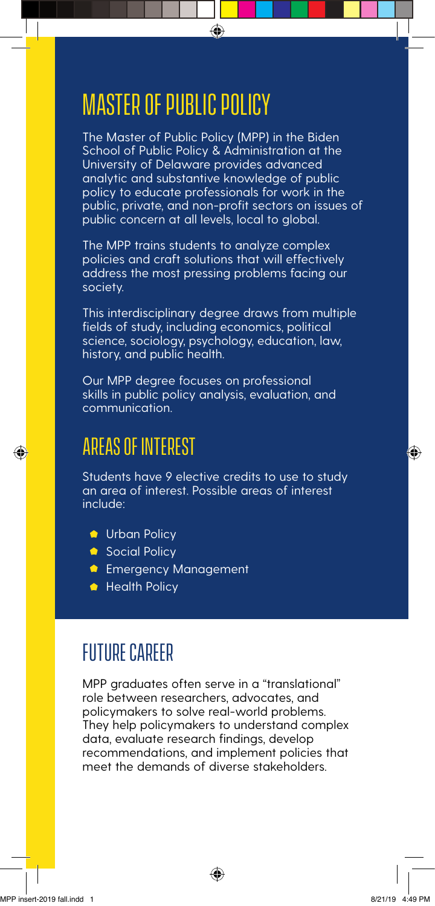## Master of Public policy

The Master of Public Policy (MPP) in the Biden School of Public Policy & Administration at the University of Delaware provides advanced analytic and substantive knowledge of public policy to educate professionals for work in the public, private, and non-profit sectors on issues of public concern at all levels, local to global.

 $\bigoplus$ 

The MPP trains students to analyze complex policies and craft solutions that will effectively address the most pressing problems facing our society.

This interdisciplinary degree draws from multiple fields of study, including economics, political science, sociology, psychology, education, law, history, and public health.

Our MPP degree focuses on professional skills in public policy analysis, evaluation, and communication.

## Areas of interest

Students have 9 elective credits to use to study an area of interest. Possible areas of interest include:

- **Urban Policy**
- Social Policy
- **Referency Management**
- **Health Policy**

## future Career

MPP graduates often serve in a "translational" role between researchers, advocates, and policymakers to solve real-world problems. They help policymakers to understand complex data, evaluate research findings, develop recommendations, and implement policies that meet the demands of diverse stakeholders.

⊕

♠

◈